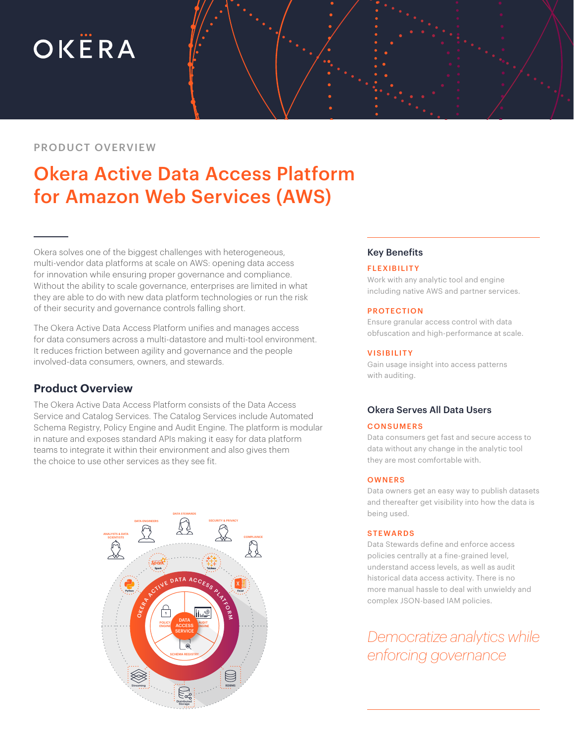# OKËRA

# PRODUCT OVERVIEW

# Okera Active Data Access Platform for Amazon Web Services (AWS)

Okera solves one of the biggest challenges with heterogeneous, multi-vendor data platforms at scale on AWS: opening data access for innovation while ensuring proper governance and compliance. Without the ability to scale governance, enterprises are limited in what they are able to do with new data platform technologies or run the risk of their security and governance controls falling short.

The Okera Active Data Access Platform unifies and manages access for data consumers across a multi-datastore and multi-tool environment. It reduces friction between agility and governance and the people involved-data consumers, owners, and stewards.

# **Product Overview**

The Okera Active Data Access Platform consists of the Data Access Service and Catalog Services. The Catalog Services include Automated Schema Registry, Policy Engine and Audit Engine. The platform is modular in nature and exposes standard APIs making it easy for data platform teams to integrate it within their environment and also gives them the choice to use other services as they see fit.



## Key Benefits

#### **FLEXIBILITY**

Work with any analytic tool and engine including native AWS and partner services.

#### PROTECTION

Ensure granular access control with data obfuscation and high-performance at scale.

#### **VISIBILITY**

Gain usage insight into access patterns with auditing.

## Okera Serves All Data Users

#### **CONSUMERS**

Data consumers get fast and secure access to data without any change in the analytic tool they are most comfortable with.

#### **OWNERS**

Data owners get an easy way to publish datasets and thereafter get visibility into how the data is being used.

#### **STEWARDS**

Data Stewards define and enforce access policies centrally at a fine-grained level, understand access levels, as well as audit historical data access activity. There is no more manual hassle to deal with unwieldy and complex JSON-based IAM policies.

*Democratize analytics while enforcing governance*